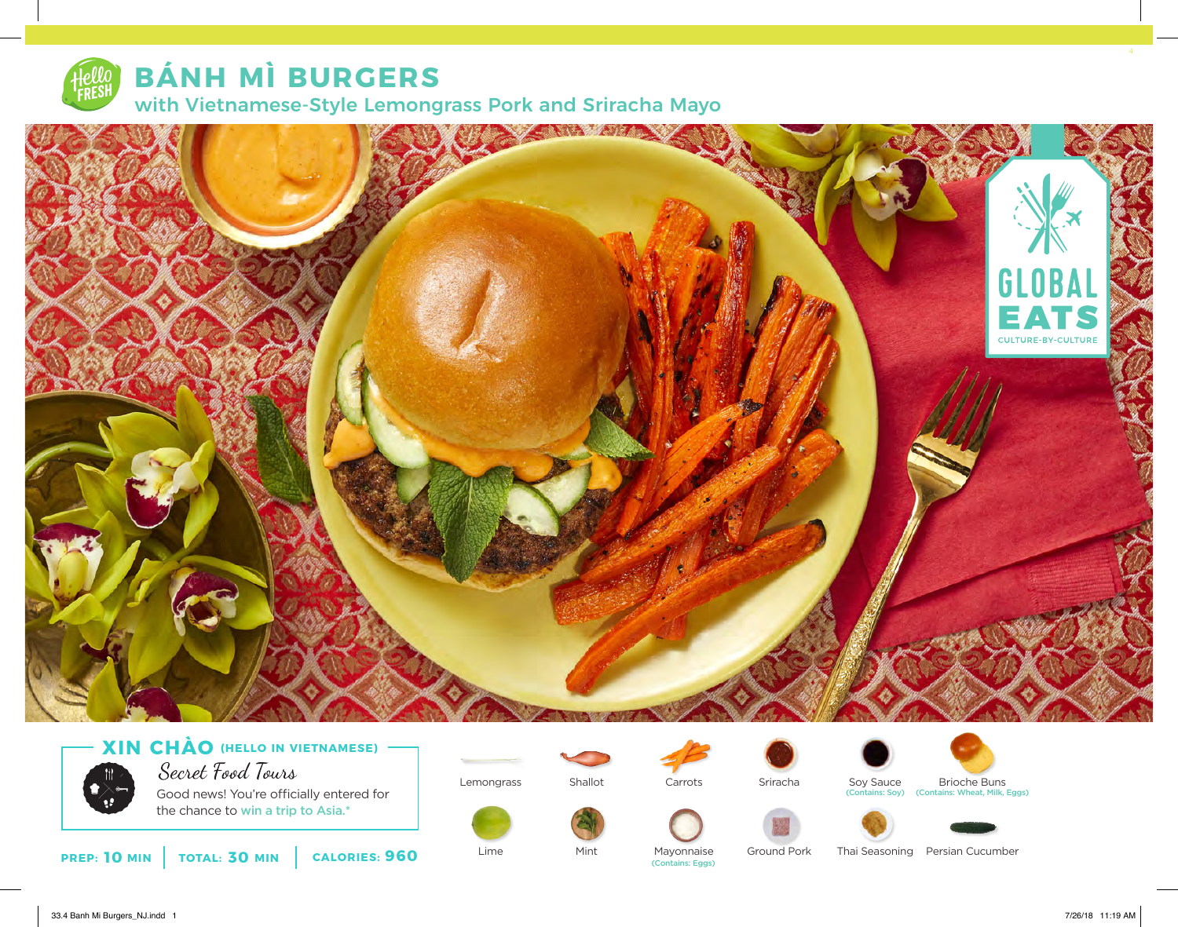

# **BÁNH MÌ BURGERS**

with Vietnamese-Style Lemongrass Pork and Sriracha Mayo



## **XIN CHÀO (HELLO IN VIETNAMESE)**



Secret Food Tours

Good news! You're officially entered for the chance to win a trip to Asia.\*



Shallot



Sriracha



(Contains: Soy) (Contains: Wheat, Milk, Eggs)

Mint



Ground Pork



**PREP: 10 MIN TOTAL: 30 MIN CALORIES: 960**

Lime

Mayonnaise (Contains: Eggs)

Thai Seasoning Persian Cucumber